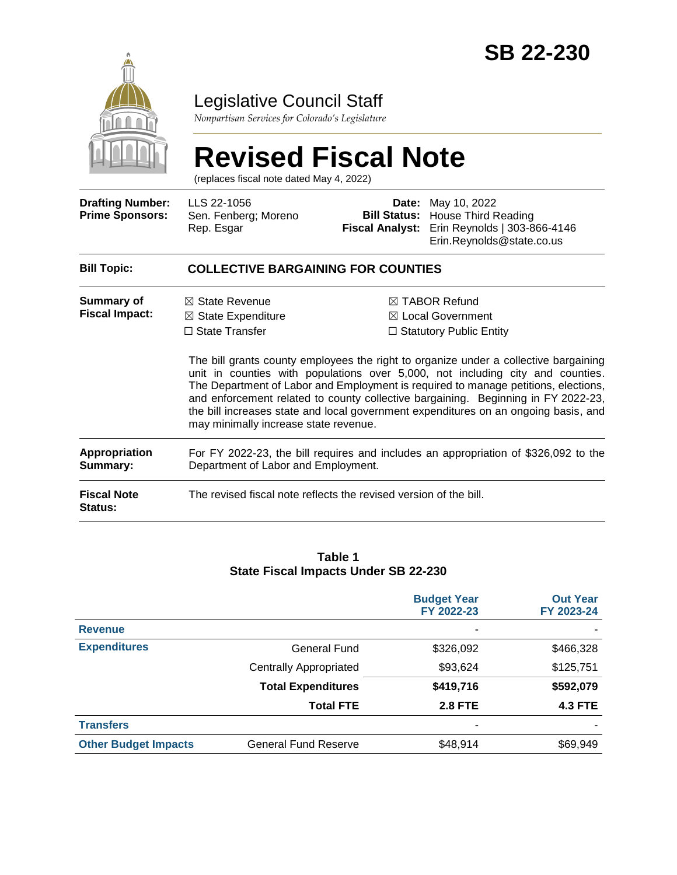

# Legislative Council Staff

*Nonpartisan Services for Colorado's Legislature*

#### **Revised Fiscal Note** (replaces fiscal note dated May 4, 2022) **Drafting Number: Prime Sponsors:** LLS 22-1056 Sen. Fenberg; Moreno Rep. Esgar **Date:** May 10, 2022 **Bill Status:** House Third Reading **Fiscal Analyst:** Erin Reynolds | 303-866-4146 Erin.Reynolds@state.co.us

| <b>Bill Topic:</b>                   | <b>COLLECTIVE BARGAINING FOR COUNTIES</b>                                                                                                                                                                                                                                                                                                                                                                                                                                         |                                                                                                                            |  |  |
|--------------------------------------|-----------------------------------------------------------------------------------------------------------------------------------------------------------------------------------------------------------------------------------------------------------------------------------------------------------------------------------------------------------------------------------------------------------------------------------------------------------------------------------|----------------------------------------------------------------------------------------------------------------------------|--|--|
| Summary of<br><b>Fiscal Impact:</b>  | $\boxtimes$ State Revenue<br>$\boxtimes$ State Expenditure<br>$\Box$ State Transfer                                                                                                                                                                                                                                                                                                                                                                                               | $\boxtimes$ TABOR Refund<br>$\boxtimes$ Local Government<br>$\Box$ Statutory Public Entity                                 |  |  |
|                                      | The bill grants county employees the right to organize under a collective bargaining<br>unit in counties with populations over 5,000, not including city and counties.<br>The Department of Labor and Employment is required to manage petitions, elections,<br>and enforcement related to county collective bargaining. Beginning in FY 2022-23,<br>the bill increases state and local government expenditures on an ongoing basis, and<br>may minimally increase state revenue. |                                                                                                                            |  |  |
| Appropriation<br>Summary:            |                                                                                                                                                                                                                                                                                                                                                                                                                                                                                   | For FY 2022-23, the bill requires and includes an appropriation of \$326,092 to the<br>Department of Labor and Employment. |  |  |
| <b>Fiscal Note</b><br><b>Status:</b> | The revised fiscal note reflects the revised version of the bill.                                                                                                                                                                                                                                                                                                                                                                                                                 |                                                                                                                            |  |  |

#### **Table 1 State Fiscal Impacts Under SB 22-230**

|                             |                               | <b>Budget Year</b><br>FY 2022-23 | <b>Out Year</b><br>FY 2023-24 |
|-----------------------------|-------------------------------|----------------------------------|-------------------------------|
| <b>Revenue</b>              |                               |                                  |                               |
| <b>Expenditures</b>         | <b>General Fund</b>           | \$326,092                        | \$466,328                     |
|                             | <b>Centrally Appropriated</b> | \$93,624                         | \$125,751                     |
|                             | <b>Total Expenditures</b>     | \$419,716                        | \$592,079                     |
|                             | <b>Total FTE</b>              | <b>2.8 FTE</b>                   | <b>4.3 FTE</b>                |
| <b>Transfers</b>            |                               | ۰                                |                               |
| <b>Other Budget Impacts</b> | <b>General Fund Reserve</b>   | \$48,914                         | \$69,949                      |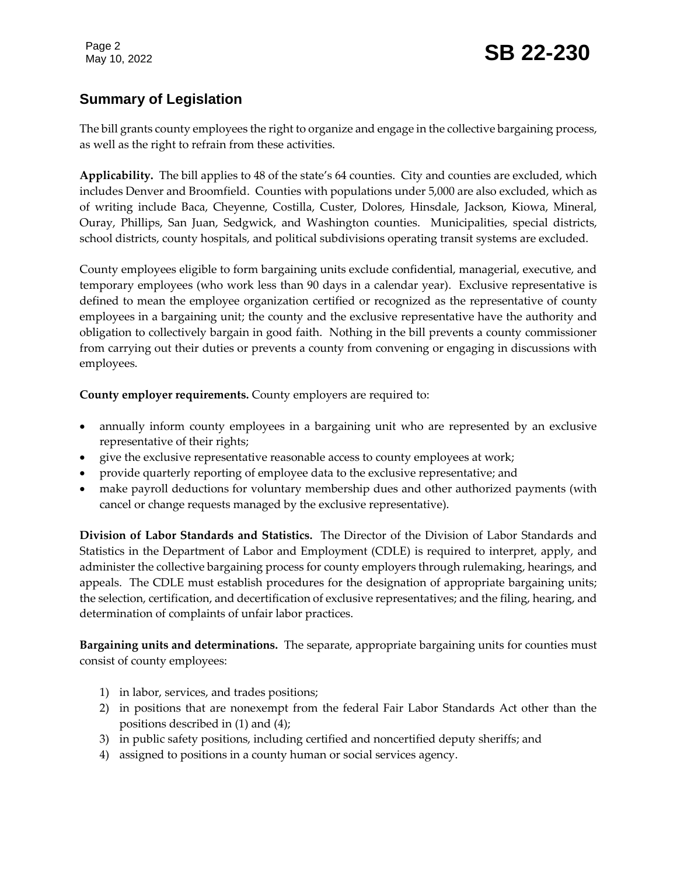## **Summary of Legislation**

The bill grants county employees the right to organize and engage in the collective bargaining process, as well as the right to refrain from these activities.

**Applicability.** The bill applies to 48 of the state's 64 counties. City and counties are excluded, which includes Denver and Broomfield. Counties with populations under 5,000 are also excluded, which as of writing include Baca, Cheyenne, Costilla, Custer, Dolores, Hinsdale, Jackson, Kiowa, Mineral, Ouray, Phillips, San Juan, Sedgwick, and Washington counties. Municipalities, special districts, school districts, county hospitals, and political subdivisions operating transit systems are excluded.

County employees eligible to form bargaining units exclude confidential, managerial, executive, and temporary employees (who work less than 90 days in a calendar year). Exclusive representative is defined to mean the employee organization certified or recognized as the representative of county employees in a bargaining unit; the county and the exclusive representative have the authority and obligation to collectively bargain in good faith. Nothing in the bill prevents a county commissioner from carrying out their duties or prevents a county from convening or engaging in discussions with employees.

**County employer requirements.** County employers are required to:

- annually inform county employees in a bargaining unit who are represented by an exclusive representative of their rights;
- give the exclusive representative reasonable access to county employees at work;
- provide quarterly reporting of employee data to the exclusive representative; and
- make payroll deductions for voluntary membership dues and other authorized payments (with cancel or change requests managed by the exclusive representative).

**Division of Labor Standards and Statistics.** The Director of the Division of Labor Standards and Statistics in the Department of Labor and Employment (CDLE) is required to interpret, apply, and administer the collective bargaining process for county employers through rulemaking, hearings, and appeals. The CDLE must establish procedures for the designation of appropriate bargaining units; the selection, certification, and decertification of exclusive representatives; and the filing, hearing, and determination of complaints of unfair labor practices.

**Bargaining units and determinations.** The separate, appropriate bargaining units for counties must consist of county employees:

- 1) in labor, services, and trades positions;
- 2) in positions that are nonexempt from the federal Fair Labor Standards Act other than the positions described in (1) and (4);
- 3) in public safety positions, including certified and noncertified deputy sheriffs; and
- 4) assigned to positions in a county human or social services agency.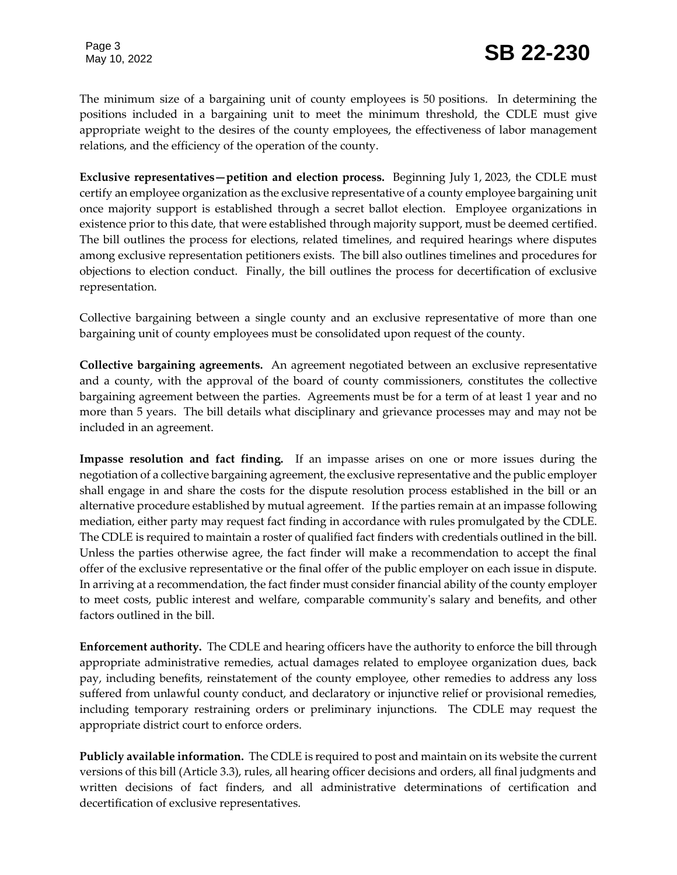The minimum size of a bargaining unit of county employees is 50 positions. In determining the positions included in a bargaining unit to meet the minimum threshold, the CDLE must give appropriate weight to the desires of the county employees, the effectiveness of labor management relations, and the efficiency of the operation of the county.

**Exclusive representatives—petition and election process.** Beginning July 1, 2023, the CDLE must certify an employee organization as the exclusive representative of a county employee bargaining unit once majority support is established through a secret ballot election. Employee organizations in existence prior to this date, that were established through majority support, must be deemed certified. The bill outlines the process for elections, related timelines, and required hearings where disputes among exclusive representation petitioners exists. The bill also outlines timelines and procedures for objections to election conduct. Finally, the bill outlines the process for decertification of exclusive representation.

Collective bargaining between a single county and an exclusive representative of more than one bargaining unit of county employees must be consolidated upon request of the county.

**Collective bargaining agreements.** An agreement negotiated between an exclusive representative and a county, with the approval of the board of county commissioners, constitutes the collective bargaining agreement between the parties. Agreements must be for a term of at least 1 year and no more than 5 years. The bill details what disciplinary and grievance processes may and may not be included in an agreement.

**Impasse resolution and fact finding.** If an impasse arises on one or more issues during the negotiation of a collective bargaining agreement, the exclusive representative and the public employer shall engage in and share the costs for the dispute resolution process established in the bill or an alternative procedure established by mutual agreement. If the parties remain at an impasse following mediation, either party may request fact finding in accordance with rules promulgated by the CDLE. The CDLE is required to maintain a roster of qualified fact finders with credentials outlined in the bill. Unless the parties otherwise agree, the fact finder will make a recommendation to accept the final offer of the exclusive representative or the final offer of the public employer on each issue in dispute. In arriving at a recommendation, the fact finder must consider financial ability of the county employer to meet costs, public interest and welfare, comparable community's salary and benefits, and other factors outlined in the bill.

**Enforcement authority.** The CDLE and hearing officers have the authority to enforce the bill through appropriate administrative remedies, actual damages related to employee organization dues, back pay, including benefits, reinstatement of the county employee, other remedies to address any loss suffered from unlawful county conduct, and declaratory or injunctive relief or provisional remedies, including temporary restraining orders or preliminary injunctions. The CDLE may request the appropriate district court to enforce orders.

**Publicly available information.** The CDLE is required to post and maintain on its website the current versions of this bill (Article 3.3), rules, all hearing officer decisions and orders, all final judgments and written decisions of fact finders, and all administrative determinations of certification and decertification of exclusive representatives.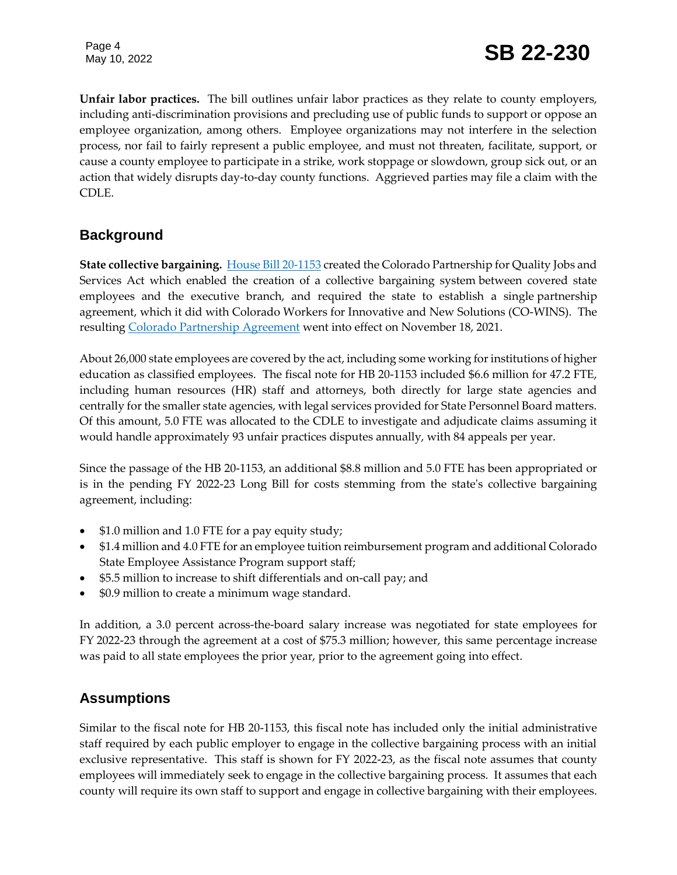**Unfair labor practices.** The bill outlines unfair labor practices as they relate to county employers, including anti-discrimination provisions and precluding use of public funds to support or oppose an employee organization, among others. Employee organizations may not interfere in the selection process, nor fail to fairly represent a public employee, and must not threaten, facilitate, support, or cause a county employee to participate in a strike, work stoppage or slowdown, group sick out, or an action that widely disrupts day-to-day county functions. Aggrieved parties may file a claim with the CDLE.

### **Background**

**State collective bargaining.** [House Bill 20-1153](https://leg.colorado.gov/bills/hb20-1153) created the Colorado Partnership for Quality Jobs and Services Act which enabled the creation of a collective bargaining system between covered state employees and the executive branch, and required the state to establish a single partnership agreement, which it did with Colorado Workers for Innovative and New Solutions (CO-WINS). The resulting [Colorado Partnership Agreement](https://drive.google.com/file/d/1250Sqhff0LS6gWL_qyY0z0iZfnhFxB1D/view) went into effect on November 18, 2021.

About 26,000 state employees are covered by the act, including some working for institutions of higher education as classified employees. The fiscal note for HB 20-1153 included \$6.6 million for 47.2 FTE, including human resources (HR) staff and attorneys, both directly for large state agencies and centrally for the smaller state agencies, with legal services provided for State Personnel Board matters. Of this amount, 5.0 FTE was allocated to the CDLE to investigate and adjudicate claims assuming it would handle approximately 93 unfair practices disputes annually, with 84 appeals per year.

Since the passage of the HB 20-1153, an additional \$8.8 million and 5.0 FTE has been appropriated or is in the pending FY 2022-23 Long Bill for costs stemming from the state's collective bargaining agreement, including:

- $\bullet$  \$1.0 million and 1.0 FTE for a pay equity study;
- \$1.4 million and 4.0 FTE for an employee tuition reimbursement program and additional Colorado State Employee Assistance Program support staff;
- \$5.5 million to increase to shift differentials and on-call pay; and
- \$0.9 million to create a minimum wage standard.

In addition, a 3.0 percent across-the-board salary increase was negotiated for state employees for FY 2022-23 through the agreement at a cost of \$75.3 million; however, this same percentage increase was paid to all state employees the prior year, prior to the agreement going into effect.

### **Assumptions**

Similar to the fiscal note for HB 20-1153, this fiscal note has included only the initial administrative staff required by each public employer to engage in the collective bargaining process with an initial exclusive representative. This staff is shown for FY 2022-23, as the fiscal note assumes that county employees will immediately seek to engage in the collective bargaining process. It assumes that each county will require its own staff to support and engage in collective bargaining with their employees.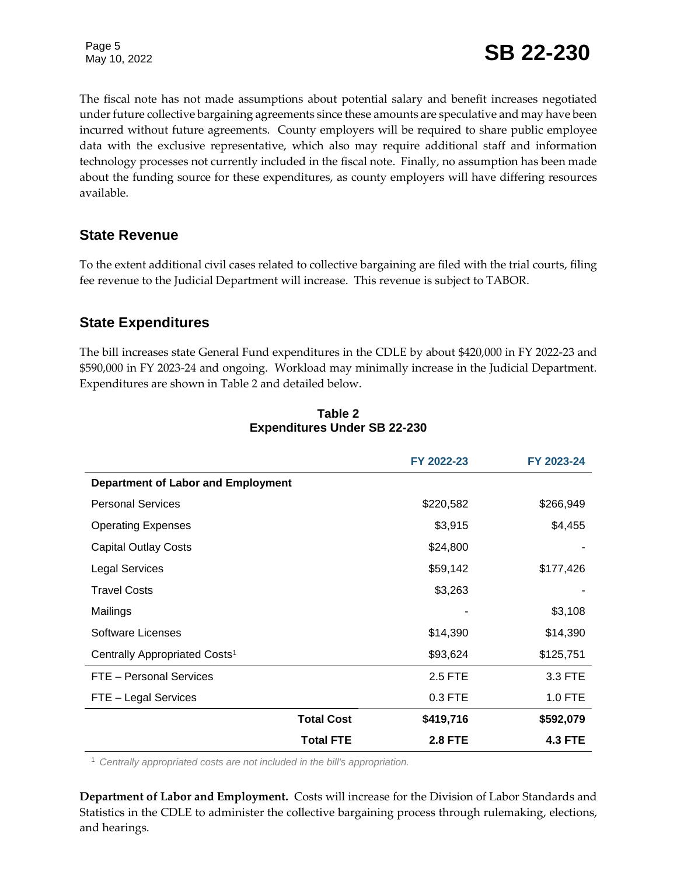The fiscal note has not made assumptions about potential salary and benefit increases negotiated under future collective bargaining agreements since these amounts are speculative and may have been incurred without future agreements. County employers will be required to share public employee data with the exclusive representative, which also may require additional staff and information technology processes not currently included in the fiscal note. Finally, no assumption has been made about the funding source for these expenditures, as county employers will have differing resources available.

### **State Revenue**

To the extent additional civil cases related to collective bargaining are filed with the trial courts, filing fee revenue to the Judicial Department will increase. This revenue is subject to TABOR.

### **State Expenditures**

The bill increases state General Fund expenditures in the CDLE by about \$420,000 in FY 2022-23 and \$590,000 in FY 2023-24 and ongoing. Workload may minimally increase in the Judicial Department. Expenditures are shown in Table 2 and detailed below.

|                                           | FY 2022-23                         | FY 2023-24     |
|-------------------------------------------|------------------------------------|----------------|
| Department of Labor and Employment        |                                    |                |
| <b>Personal Services</b>                  | \$220,582                          | \$266,949      |
| <b>Operating Expenses</b>                 | \$3,915                            | \$4,455        |
| <b>Capital Outlay Costs</b>               | \$24,800                           |                |
| <b>Legal Services</b>                     | \$59,142                           | \$177,426      |
| <b>Travel Costs</b>                       | \$3,263                            |                |
| Mailings                                  |                                    | \$3,108        |
| <b>Software Licenses</b>                  | \$14,390                           | \$14,390       |
| Centrally Appropriated Costs <sup>1</sup> | \$93,624                           | \$125,751      |
| FTE - Personal Services                   | 2.5 FTE                            | 3.3 FTE        |
| FTE - Legal Services                      | 0.3 FTE                            | 1.0 FTE        |
|                                           | <b>Total Cost</b><br>\$419,716     | \$592,079      |
|                                           | <b>Total FTE</b><br><b>2.8 FTE</b> | <b>4.3 FTE</b> |

#### **Table 2 Expenditures Under SB 22-230**

<sup>1</sup> *Centrally appropriated costs are not included in the bill's appropriation.*

**Department of Labor and Employment.** Costs will increase for the Division of Labor Standards and Statistics in the CDLE to administer the collective bargaining process through rulemaking, elections, and hearings.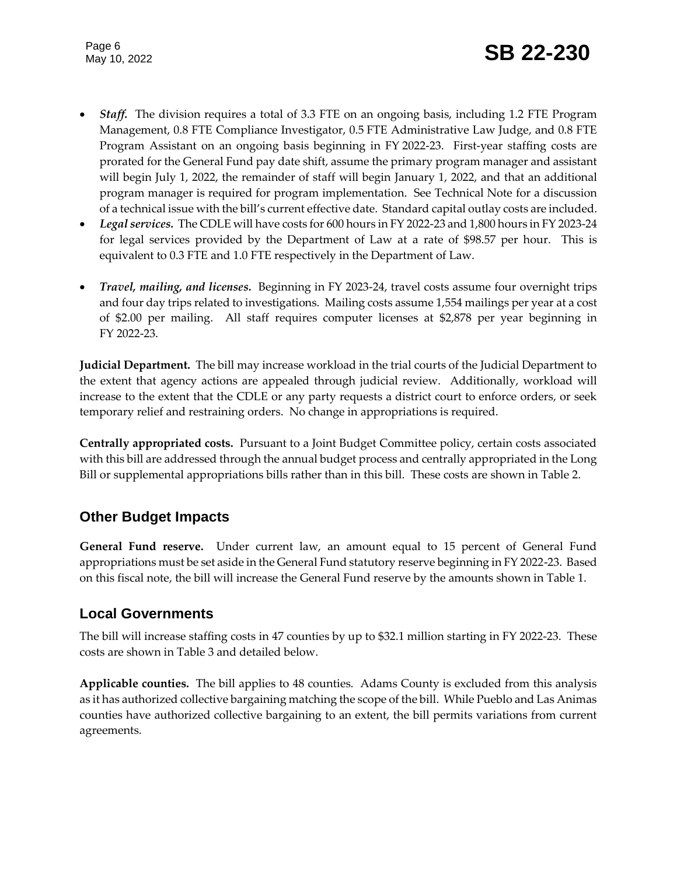- **Staff.** The division requires a total of 3.3 FTE on an ongoing basis, including 1.2 FTE Program Management, 0.8 FTE Compliance Investigator, 0.5 FTE Administrative Law Judge, and 0.8 FTE Program Assistant on an ongoing basis beginning in FY 2022-23. First-year staffing costs are prorated for the General Fund pay date shift, assume the primary program manager and assistant will begin July 1, 2022, the remainder of staff will begin January 1, 2022, and that an additional program manager is required for program implementation. See Technical Note for a discussion of a technical issue with the bill's current effective date. Standard capital outlay costs are included.
- *Legal services.*The CDLE will have costs for 600 hours in FY 2022-23 and 1,800 hours in FY 2023-24 for legal services provided by the Department of Law at a rate of \$98.57 per hour. This is equivalent to 0.3 FTE and 1.0 FTE respectively in the Department of Law.
- *Travel, mailing, and licenses.* Beginning in FY 2023-24, travel costs assume four overnight trips and four day trips related to investigations. Mailing costs assume 1,554 mailings per year at a cost of \$2.00 per mailing. All staff requires computer licenses at \$2,878 per year beginning in FY 2022-23.

**Judicial Department.** The bill may increase workload in the trial courts of the Judicial Department to the extent that agency actions are appealed through judicial review. Additionally, workload will increase to the extent that the CDLE or any party requests a district court to enforce orders, or seek temporary relief and restraining orders. No change in appropriations is required.

**Centrally appropriated costs.** Pursuant to a Joint Budget Committee policy, certain costs associated with this bill are addressed through the annual budget process and centrally appropriated in the Long Bill or supplemental appropriations bills rather than in this bill. These costs are shown in Table 2.

### **Other Budget Impacts**

**General Fund reserve.** Under current law, an amount equal to 15 percent of General Fund appropriations must be set aside in the General Fund statutory reserve beginning in FY 2022-23. Based on this fiscal note, the bill will increase the General Fund reserve by the amounts shown in Table 1.

### **Local Governments**

The bill will increase staffing costs in 47 counties by up to \$32.1 million starting in FY 2022-23. These costs are shown in Table 3 and detailed below.

**Applicable counties.** The bill applies to 48 counties. Adams County is excluded from this analysis as it has authorized collective bargaining matching the scope of the bill. While Pueblo and Las Animas counties have authorized collective bargaining to an extent, the bill permits variations from current agreements.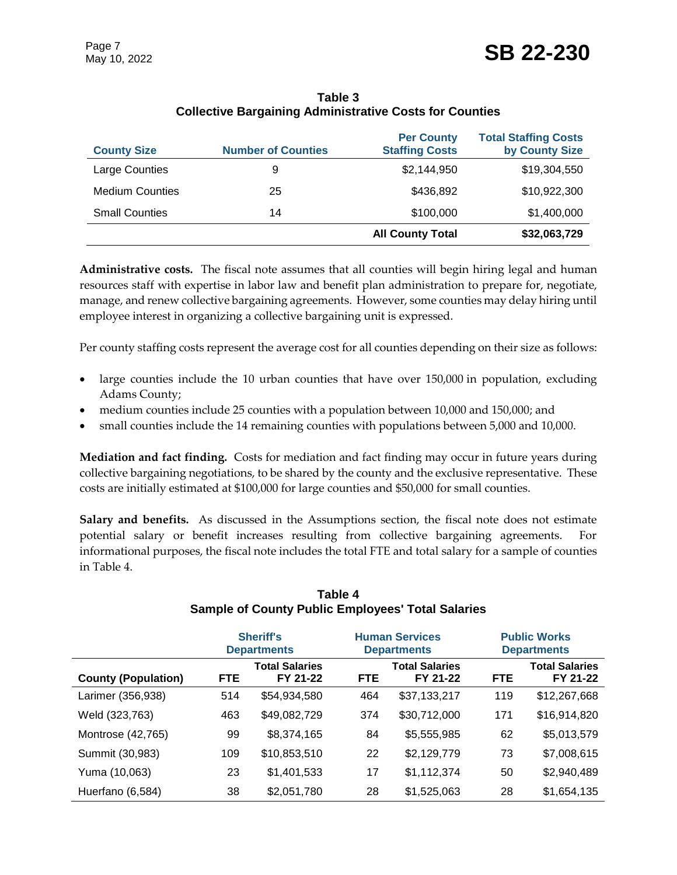| <b>County Size</b>     | <b>Number of Counties</b> | <b>Per County</b><br><b>Staffing Costs</b> | <b>Total Staffing Costs</b><br>by County Size |
|------------------------|---------------------------|--------------------------------------------|-----------------------------------------------|
| Large Counties         | 9                         | \$2,144,950                                | \$19,304,550                                  |
| <b>Medium Counties</b> | 25                        | \$436,892                                  | \$10,922,300                                  |
| <b>Small Counties</b>  | 14                        | \$100,000                                  | \$1,400,000                                   |
|                        |                           | <b>All County Total</b>                    | \$32,063,729                                  |

#### **Table 3 Collective Bargaining Administrative Costs for Counties**

**Administrative costs.** The fiscal note assumes that all counties will begin hiring legal and human resources staff with expertise in labor law and benefit plan administration to prepare for, negotiate, manage, and renew collective bargaining agreements. However, some counties may delay hiring until employee interest in organizing a collective bargaining unit is expressed.

Per county staffing costs represent the average cost for all counties depending on their size as follows:

- large counties include the 10 urban counties that have over 150,000 in population, excluding Adams County;
- medium counties include 25 counties with a population between 10,000 and 150,000; and
- small counties include the 14 remaining counties with populations between 5,000 and 10,000.

**Mediation and fact finding.** Costs for mediation and fact finding may occur in future years during collective bargaining negotiations, to be shared by the county and the exclusive representative. These costs are initially estimated at \$100,000 for large counties and \$50,000 for small counties.

**Salary and benefits.** As discussed in the Assumptions section, the fiscal note does not estimate potential salary or benefit increases resulting from collective bargaining agreements. For informational purposes, the fiscal note includes the total FTE and total salary for a sample of counties in Table 4.

|                            | <b>Sheriff's</b><br><b>Departments</b> |                                   |            | <b>Human Services</b><br><b>Departments</b> |            | <b>Public Works</b><br><b>Departments</b> |  |
|----------------------------|----------------------------------------|-----------------------------------|------------|---------------------------------------------|------------|-------------------------------------------|--|
| <b>County (Population)</b> | <b>FTE</b>                             | <b>Total Salaries</b><br>FY 21-22 | <b>FTE</b> | <b>Total Salaries</b><br>FY 21-22           | <b>FTE</b> | <b>Total Salaries</b><br>FY 21-22         |  |
| Larimer (356,938)          | 514                                    | \$54,934,580                      | 464        | \$37,133,217                                | 119        | \$12,267,668                              |  |
| Weld (323,763)             | 463                                    | \$49,082,729                      | 374        | \$30,712,000                                | 171        | \$16,914,820                              |  |
| Montrose (42,765)          | 99                                     | \$8,374,165                       | 84         | \$5,555,985                                 | 62         | \$5,013,579                               |  |
| Summit (30,983)            | 109                                    | \$10,853,510                      | 22         | \$2,129,779                                 | 73         | \$7,008,615                               |  |
| Yuma (10,063)              | 23                                     | \$1,401,533                       | 17         | \$1,112,374                                 | 50         | \$2,940,489                               |  |
| Huerfano (6,584)           | 38                                     | \$2,051,780                       | 28         | \$1,525,063                                 | 28         | \$1,654,135                               |  |

#### **Table 4 Sample of County Public Employees' Total Salaries**